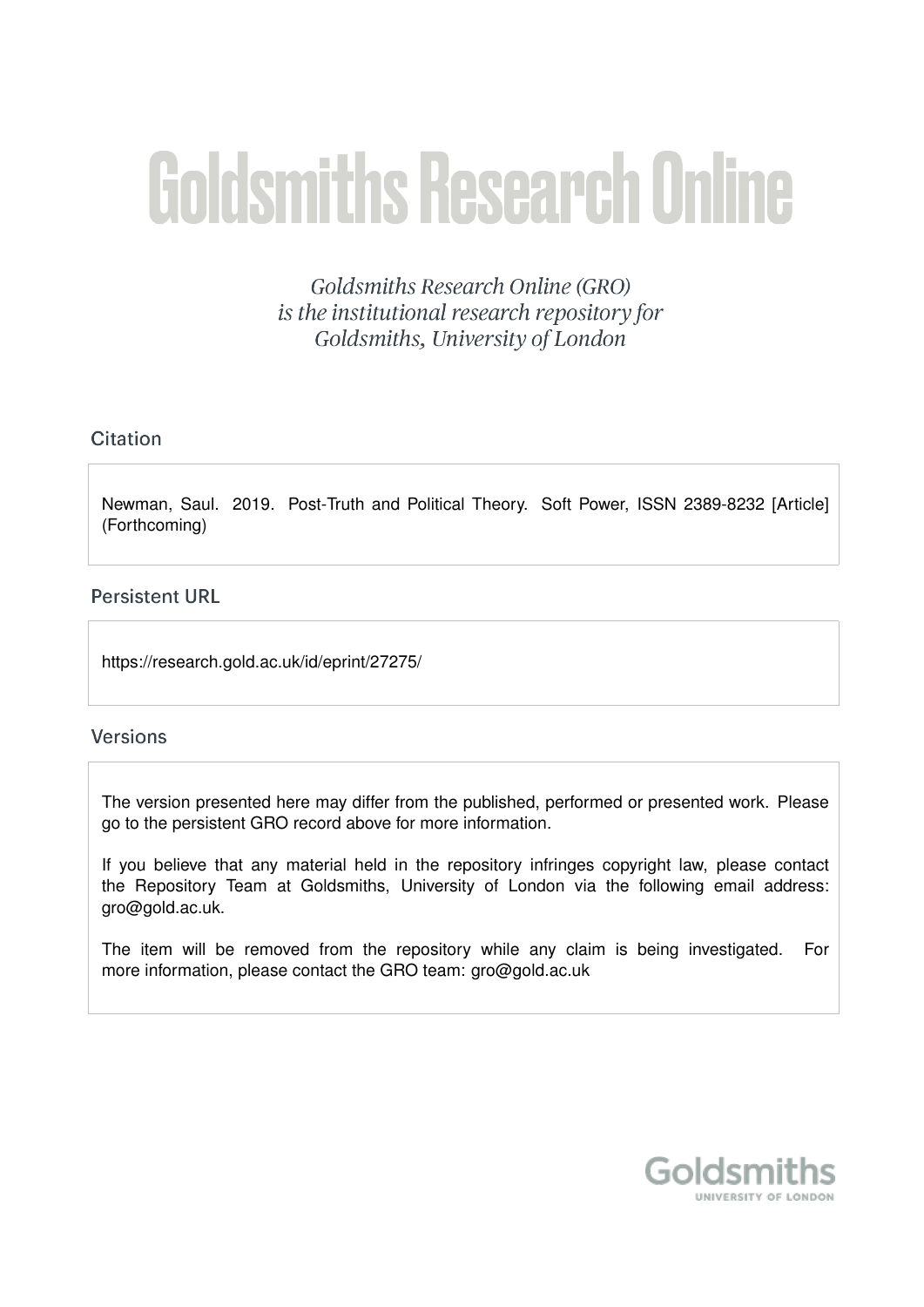# **Goldsmiths Research Online**

Goldsmiths Research Online (GRO) is the institutional research repository for Goldsmiths, University of London

# Citation

Newman, Saul. 2019. Post-Truth and Political Theory. Soft Power, ISSN 2389-8232 [Article] (Forthcoming)

## **Persistent URL**

https://research.gold.ac.uk/id/eprint/27275/

## **Versions**

The version presented here may differ from the published, performed or presented work. Please go to the persistent GRO record above for more information.

If you believe that any material held in the repository infringes copyright law, please contact the Repository Team at Goldsmiths, University of London via the following email address: gro@gold.ac.uk.

The item will be removed from the repository while any claim is being investigated. For more information, please contact the GRO team: gro@gold.ac.uk

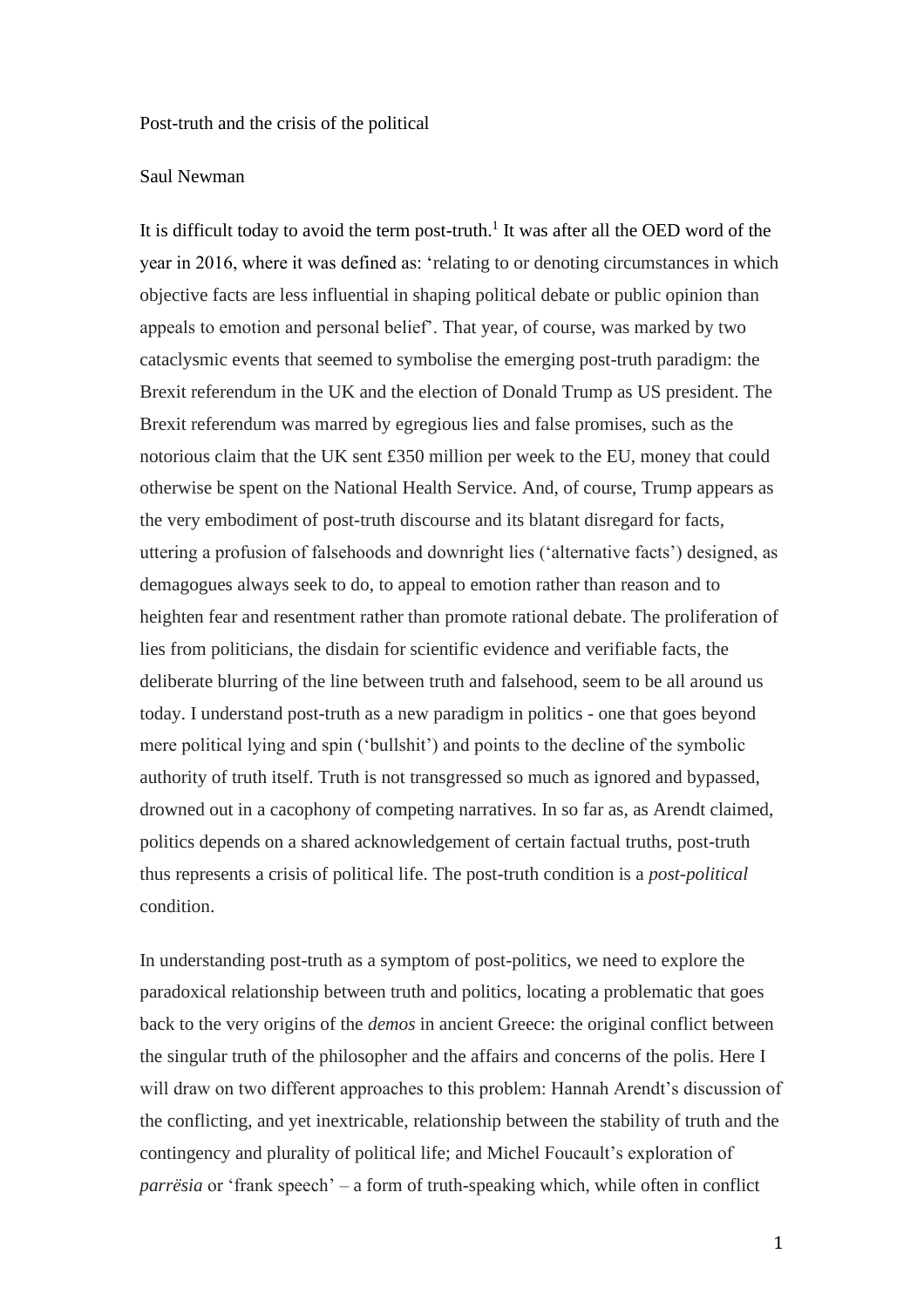#### Post-truth and the crisis of the political

#### Saul Newman

It is difficult today to avoid the term post-truth.<sup>1</sup> It was after all the OED word of the year in 2016, where it was defined as: 'relating to or denoting circumstances in which objective facts are less influential in shaping political debate or public opinion than appeals to emotion and personal belief'. That year, of course, was marked by two cataclysmic events that seemed to symbolise the emerging post-truth paradigm: the Brexit referendum in the UK and the election of Donald Trump as US president. The Brexit referendum was marred by egregious lies and false promises, such as the notorious claim that the UK sent £350 million per week to the EU, money that could otherwise be spent on the National Health Service. And, of course, Trump appears as the very embodiment of post-truth discourse and its blatant disregard for facts, uttering a profusion of falsehoods and downright lies ('alternative facts') designed, as demagogues always seek to do, to appeal to emotion rather than reason and to heighten fear and resentment rather than promote rational debate. The proliferation of lies from politicians, the disdain for scientific evidence and verifiable facts, the deliberate blurring of the line between truth and falsehood, seem to be all around us today. I understand post-truth as a new paradigm in politics - one that goes beyond mere political lying and spin ('bullshit') and points to the decline of the symbolic authority of truth itself. Truth is not transgressed so much as ignored and bypassed, drowned out in a cacophony of competing narratives. In so far as, as Arendt claimed, politics depends on a shared acknowledgement of certain factual truths, post-truth thus represents a crisis of political life. The post-truth condition is a *post-political* condition.

In understanding post-truth as a symptom of post-politics, we need to explore the paradoxical relationship between truth and politics, locating a problematic that goes back to the very origins of the *demos* in ancient Greece: the original conflict between the singular truth of the philosopher and the affairs and concerns of the polis. Here I will draw on two different approaches to this problem: Hannah Arendt's discussion of the conflicting, and yet inextricable, relationship between the stability of truth and the contingency and plurality of political life; and Michel Foucault's exploration of *parrësia* or 'frank speech' – a form of truth-speaking which, while often in conflict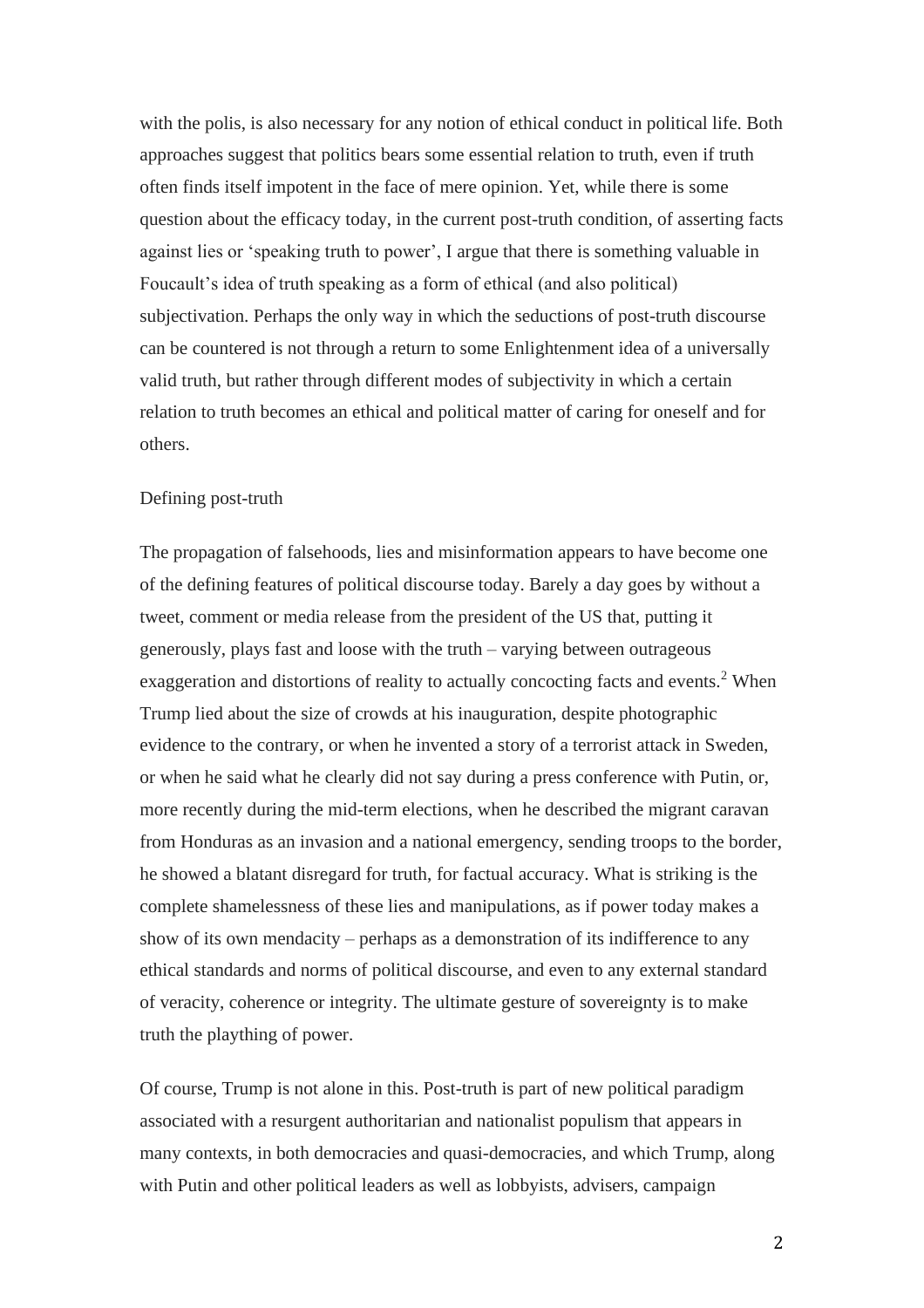with the polis, is also necessary for any notion of ethical conduct in political life. Both approaches suggest that politics bears some essential relation to truth, even if truth often finds itself impotent in the face of mere opinion. Yet, while there is some question about the efficacy today, in the current post-truth condition, of asserting facts against lies or 'speaking truth to power', I argue that there is something valuable in Foucault's idea of truth speaking as a form of ethical (and also political) subjectivation. Perhaps the only way in which the seductions of post-truth discourse can be countered is not through a return to some Enlightenment idea of a universally valid truth, but rather through different modes of subjectivity in which a certain relation to truth becomes an ethical and political matter of caring for oneself and for others.

#### Defining post-truth

The propagation of falsehoods, lies and misinformation appears to have become one of the defining features of political discourse today. Barely a day goes by without a tweet, comment or media release from the president of the US that, putting it generously, plays fast and loose with the truth – varying between outrageous exaggeration and distortions of reality to actually concocting facts and events.<sup>2</sup> When Trump lied about the size of crowds at his inauguration, despite photographic evidence to the contrary, or when he invented a story of a terrorist attack in Sweden, or when he said what he clearly did not say during a press conference with Putin, or, more recently during the mid-term elections, when he described the migrant caravan from Honduras as an invasion and a national emergency, sending troops to the border, he showed a blatant disregard for truth, for factual accuracy. What is striking is the complete shamelessness of these lies and manipulations, as if power today makes a show of its own mendacity – perhaps as a demonstration of its indifference to any ethical standards and norms of political discourse, and even to any external standard of veracity, coherence or integrity. The ultimate gesture of sovereignty is to make truth the plaything of power.

Of course, Trump is not alone in this. Post-truth is part of new political paradigm associated with a resurgent authoritarian and nationalist populism that appears in many contexts, in both democracies and quasi-democracies, and which Trump, along with Putin and other political leaders as well as lobbyists, advisers, campaign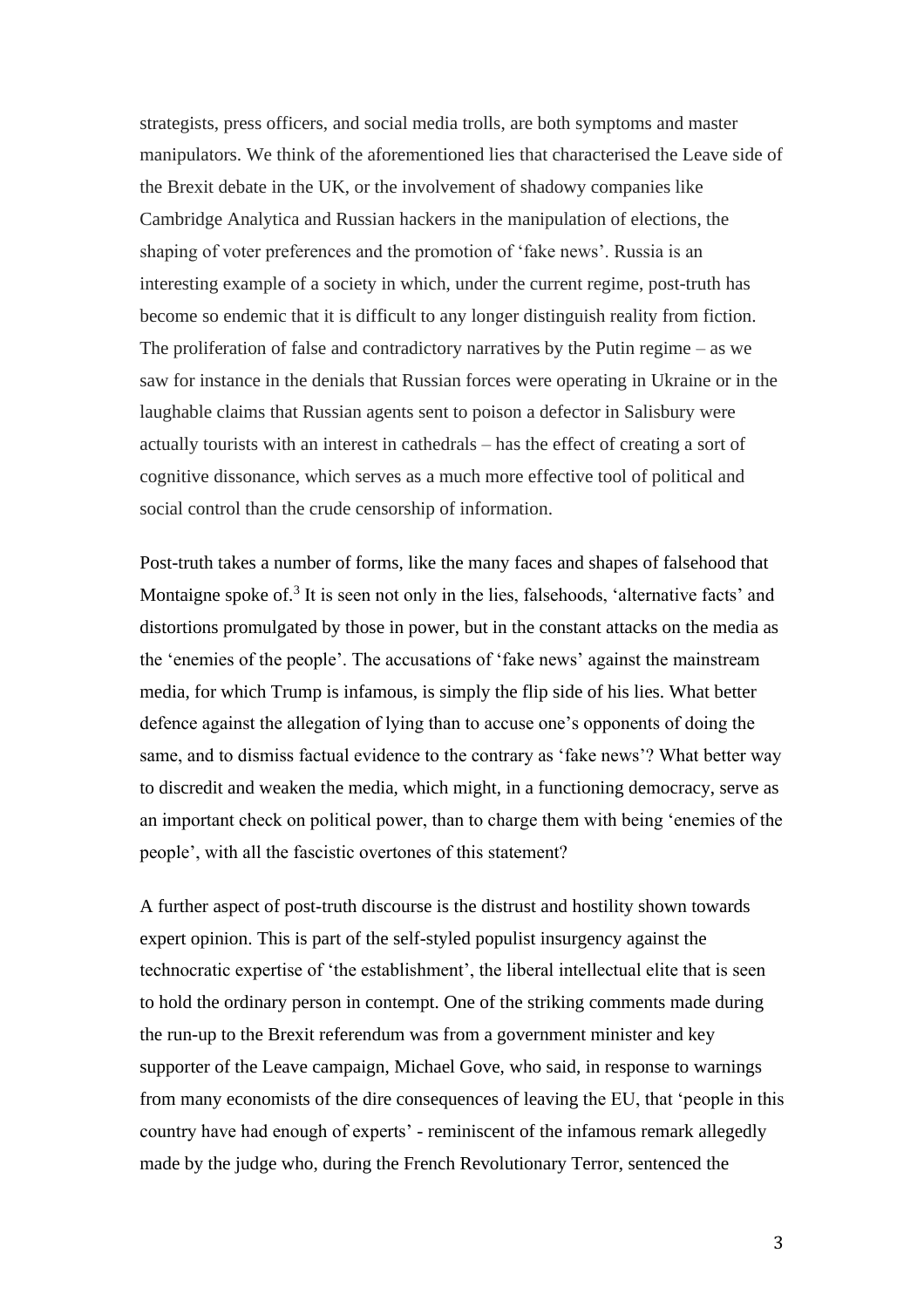strategists, press officers, and social media trolls, are both symptoms and master manipulators. We think of the aforementioned lies that characterised the Leave side of the Brexit debate in the UK, or the involvement of shadowy companies like Cambridge Analytica and Russian hackers in the manipulation of elections, the shaping of voter preferences and the promotion of 'fake news'. Russia is an interesting example of a society in which, under the current regime, post-truth has become so endemic that it is difficult to any longer distinguish reality from fiction. The proliferation of false and contradictory narratives by the Putin regime – as we saw for instance in the denials that Russian forces were operating in Ukraine or in the laughable claims that Russian agents sent to poison a defector in Salisbury were actually tourists with an interest in cathedrals – has the effect of creating a sort of cognitive dissonance, which serves as a much more effective tool of political and social control than the crude censorship of information.

Post-truth takes a number of forms, like the many faces and shapes of falsehood that Montaigne spoke of.<sup>3</sup> It is seen not only in the lies, falsehoods, 'alternative facts' and distortions promulgated by those in power, but in the constant attacks on the media as the 'enemies of the people'. The accusations of 'fake news' against the mainstream media, for which Trump is infamous, is simply the flip side of his lies. What better defence against the allegation of lying than to accuse one's opponents of doing the same, and to dismiss factual evidence to the contrary as 'fake news'? What better way to discredit and weaken the media, which might, in a functioning democracy, serve as an important check on political power, than to charge them with being 'enemies of the people', with all the fascistic overtones of this statement?

A further aspect of post-truth discourse is the distrust and hostility shown towards expert opinion. This is part of the self-styled populist insurgency against the technocratic expertise of 'the establishment', the liberal intellectual elite that is seen to hold the ordinary person in contempt. One of the striking comments made during the run-up to the Brexit referendum was from a government minister and key supporter of the Leave campaign, Michael Gove, who said, in response to warnings from many economists of the dire consequences of leaving the EU, that 'people in this country have had enough of experts' - reminiscent of the infamous remark allegedly made by the judge who, during the French Revolutionary Terror, sentenced the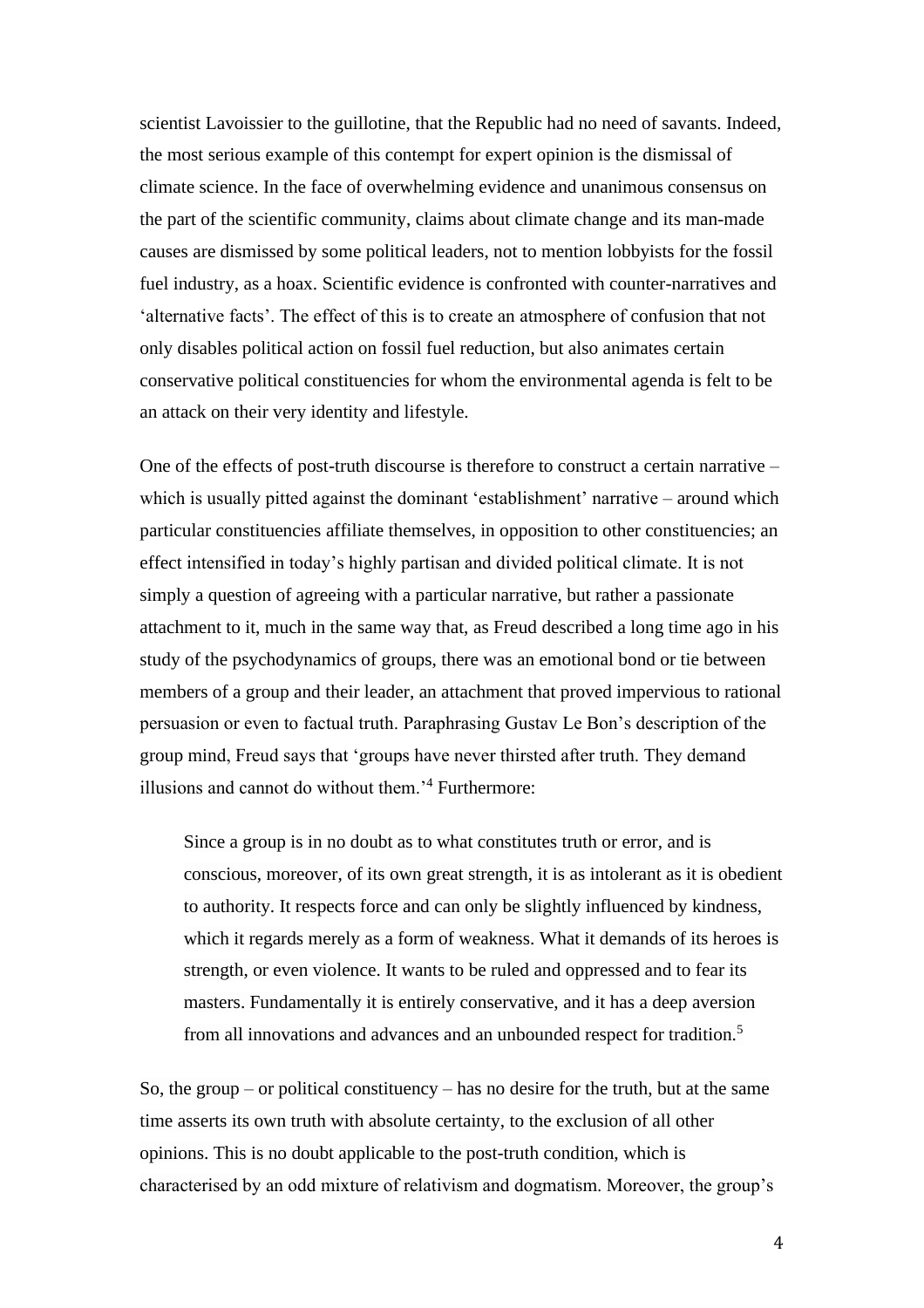scientist Lavoissier to the guillotine, that the Republic had no need of savants. Indeed, the most serious example of this contempt for expert opinion is the dismissal of climate science. In the face of overwhelming evidence and unanimous consensus on the part of the scientific community, claims about climate change and its man-made causes are dismissed by some political leaders, not to mention lobbyists for the fossil fuel industry, as a hoax. Scientific evidence is confronted with counter-narratives and 'alternative facts'. The effect of this is to create an atmosphere of confusion that not only disables political action on fossil fuel reduction, but also animates certain conservative political constituencies for whom the environmental agenda is felt to be an attack on their very identity and lifestyle.

One of the effects of post-truth discourse is therefore to construct a certain narrative – which is usually pitted against the dominant 'establishment' narrative – around which particular constituencies affiliate themselves, in opposition to other constituencies; an effect intensified in today's highly partisan and divided political climate. It is not simply a question of agreeing with a particular narrative, but rather a passionate attachment to it, much in the same way that, as Freud described a long time ago in his study of the psychodynamics of groups, there was an emotional bond or tie between members of a group and their leader, an attachment that proved impervious to rational persuasion or even to factual truth. Paraphrasing Gustav Le Bon's description of the group mind, Freud says that 'groups have never thirsted after truth. They demand illusions and cannot do without them.'<sup>4</sup> Furthermore:

Since a group is in no doubt as to what constitutes truth or error, and is conscious, moreover, of its own great strength, it is as intolerant as it is obedient to authority. It respects force and can only be slightly influenced by kindness, which it regards merely as a form of weakness. What it demands of its heroes is strength, or even violence. It wants to be ruled and oppressed and to fear its masters. Fundamentally it is entirely conservative, and it has a deep aversion from all innovations and advances and an unbounded respect for tradition.<sup>5</sup>

So, the group – or political constituency – has no desire for the truth, but at the same time asserts its own truth with absolute certainty, to the exclusion of all other opinions. This is no doubt applicable to the post-truth condition, which is characterised by an odd mixture of relativism and dogmatism. Moreover, the group's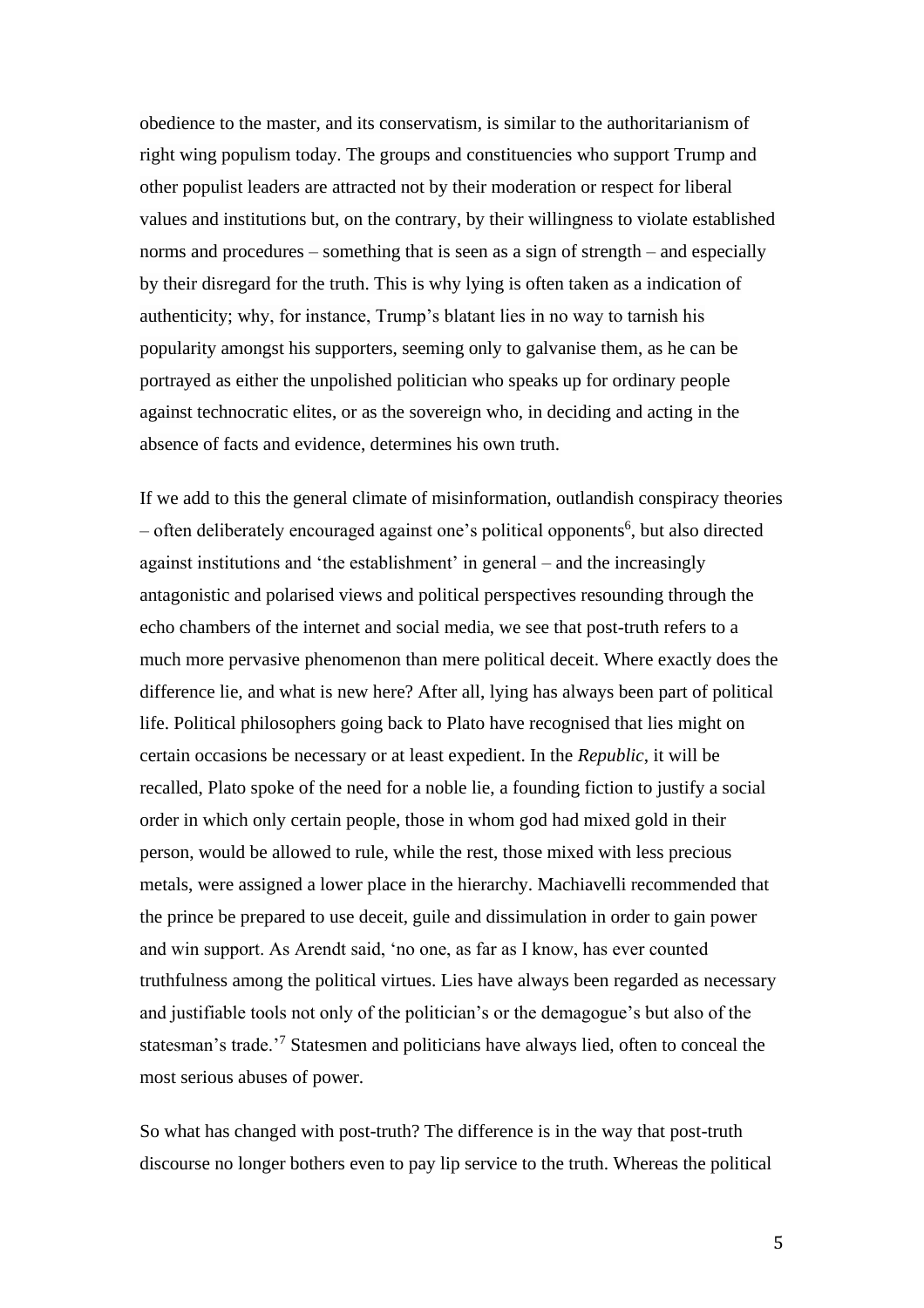obedience to the master, and its conservatism, is similar to the authoritarianism of right wing populism today. The groups and constituencies who support Trump and other populist leaders are attracted not by their moderation or respect for liberal values and institutions but, on the contrary, by their willingness to violate established norms and procedures – something that is seen as a sign of strength – and especially by their disregard for the truth. This is why lying is often taken as a indication of authenticity; why, for instance, Trump's blatant lies in no way to tarnish his popularity amongst his supporters, seeming only to galvanise them, as he can be portrayed as either the unpolished politician who speaks up for ordinary people against technocratic elites, or as the sovereign who, in deciding and acting in the absence of facts and evidence, determines his own truth.

If we add to this the general climate of misinformation, outlandish conspiracy theories – often deliberately encouraged against one's political opponents<sup>6</sup>, but also directed against institutions and 'the establishment' in general – and the increasingly antagonistic and polarised views and political perspectives resounding through the echo chambers of the internet and social media, we see that post-truth refers to a much more pervasive phenomenon than mere political deceit. Where exactly does the difference lie, and what is new here? After all, lying has always been part of political life. Political philosophers going back to Plato have recognised that lies might on certain occasions be necessary or at least expedient. In the *Republic*, it will be recalled, Plato spoke of the need for a noble lie, a founding fiction to justify a social order in which only certain people, those in whom god had mixed gold in their person, would be allowed to rule, while the rest, those mixed with less precious metals, were assigned a lower place in the hierarchy. Machiavelli recommended that the prince be prepared to use deceit, guile and dissimulation in order to gain power and win support. As Arendt said, 'no one, as far as I know, has ever counted truthfulness among the political virtues. Lies have always been regarded as necessary and justifiable tools not only of the politician's or the demagogue's but also of the statesman's trade.'<sup>7</sup> Statesmen and politicians have always lied, often to conceal the most serious abuses of power.

So what has changed with post-truth? The difference is in the way that post-truth discourse no longer bothers even to pay lip service to the truth. Whereas the political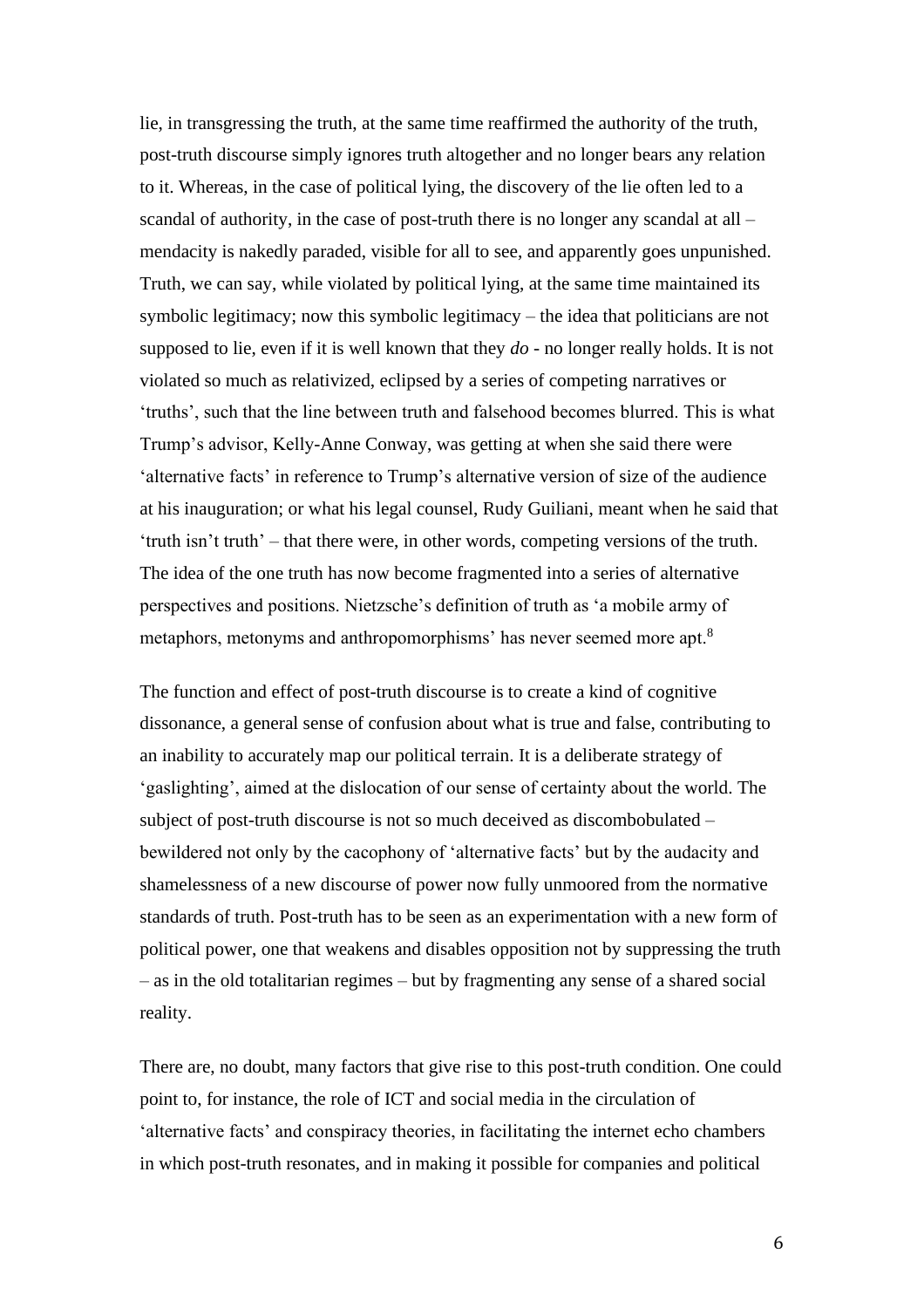lie, in transgressing the truth, at the same time reaffirmed the authority of the truth, post-truth discourse simply ignores truth altogether and no longer bears any relation to it. Whereas, in the case of political lying, the discovery of the lie often led to a scandal of authority, in the case of post-truth there is no longer any scandal at all – mendacity is nakedly paraded, visible for all to see, and apparently goes unpunished. Truth, we can say, while violated by political lying, at the same time maintained its symbolic legitimacy; now this symbolic legitimacy – the idea that politicians are not supposed to lie, even if it is well known that they *do* - no longer really holds. It is not violated so much as relativized, eclipsed by a series of competing narratives or 'truths', such that the line between truth and falsehood becomes blurred. This is what Trump's advisor, Kelly-Anne Conway, was getting at when she said there were 'alternative facts' in reference to Trump's alternative version of size of the audience at his inauguration; or what his legal counsel, Rudy Guiliani, meant when he said that 'truth isn't truth' – that there were, in other words, competing versions of the truth. The idea of the one truth has now become fragmented into a series of alternative perspectives and positions. Nietzsche's definition of truth as 'a mobile army of metaphors, metonyms and anthropomorphisms' has never seemed more apt.<sup>8</sup>

The function and effect of post-truth discourse is to create a kind of cognitive dissonance, a general sense of confusion about what is true and false, contributing to an inability to accurately map our political terrain. It is a deliberate strategy of 'gaslighting', aimed at the dislocation of our sense of certainty about the world. The subject of post-truth discourse is not so much deceived as discombobulated – bewildered not only by the cacophony of 'alternative facts' but by the audacity and shamelessness of a new discourse of power now fully unmoored from the normative standards of truth. Post-truth has to be seen as an experimentation with a new form of political power, one that weakens and disables opposition not by suppressing the truth – as in the old totalitarian regimes – but by fragmenting any sense of a shared social reality.

There are, no doubt, many factors that give rise to this post-truth condition. One could point to, for instance, the role of ICT and social media in the circulation of 'alternative facts' and conspiracy theories, in facilitating the internet echo chambers in which post-truth resonates, and in making it possible for companies and political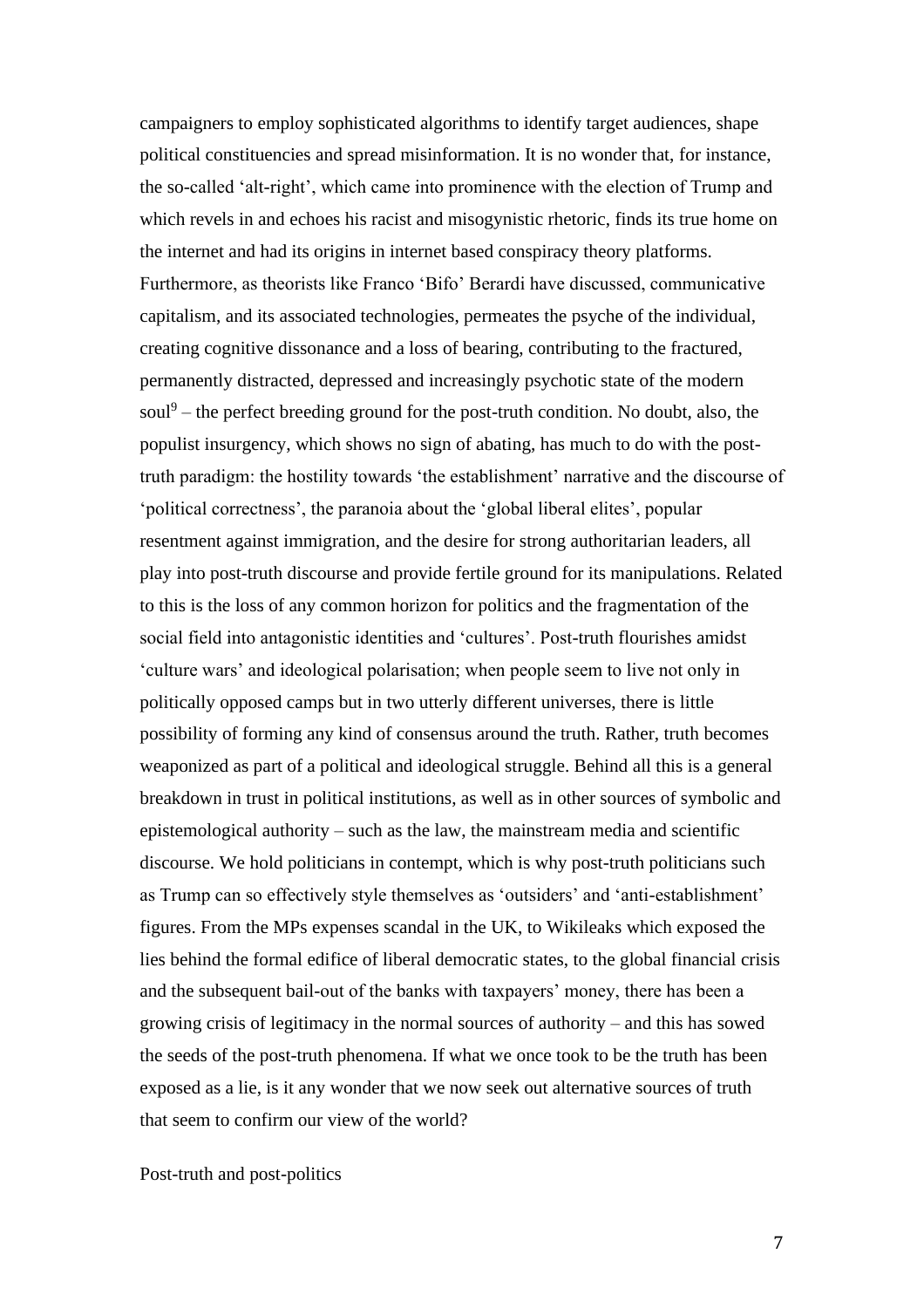campaigners to employ sophisticated algorithms to identify target audiences, shape political constituencies and spread misinformation. It is no wonder that, for instance, the so-called 'alt-right', which came into prominence with the election of Trump and which revels in and echoes his racist and misogynistic rhetoric, finds its true home on the internet and had its origins in internet based conspiracy theory platforms. Furthermore, as theorists like Franco 'Bifo' Berardi have discussed, communicative capitalism, and its associated technologies, permeates the psyche of the individual, creating cognitive dissonance and a loss of bearing, contributing to the fractured, permanently distracted, depressed and increasingly psychotic state of the modern soul<sup>9</sup> – the perfect breeding ground for the post-truth condition. No doubt, also, the populist insurgency, which shows no sign of abating, has much to do with the posttruth paradigm: the hostility towards 'the establishment' narrative and the discourse of 'political correctness', the paranoia about the 'global liberal elites', popular resentment against immigration, and the desire for strong authoritarian leaders, all play into post-truth discourse and provide fertile ground for its manipulations. Related to this is the loss of any common horizon for politics and the fragmentation of the social field into antagonistic identities and 'cultures'. Post-truth flourishes amidst 'culture wars' and ideological polarisation; when people seem to live not only in politically opposed camps but in two utterly different universes, there is little possibility of forming any kind of consensus around the truth. Rather, truth becomes weaponized as part of a political and ideological struggle. Behind all this is a general breakdown in trust in political institutions, as well as in other sources of symbolic and epistemological authority – such as the law, the mainstream media and scientific discourse. We hold politicians in contempt, which is why post-truth politicians such as Trump can so effectively style themselves as 'outsiders' and 'anti-establishment' figures. From the MPs expenses scandal in the UK, to Wikileaks which exposed the lies behind the formal edifice of liberal democratic states, to the global financial crisis and the subsequent bail-out of the banks with taxpayers' money, there has been a growing crisis of legitimacy in the normal sources of authority – and this has sowed the seeds of the post-truth phenomena. If what we once took to be the truth has been exposed as a lie, is it any wonder that we now seek out alternative sources of truth that seem to confirm our view of the world?

Post-truth and post-politics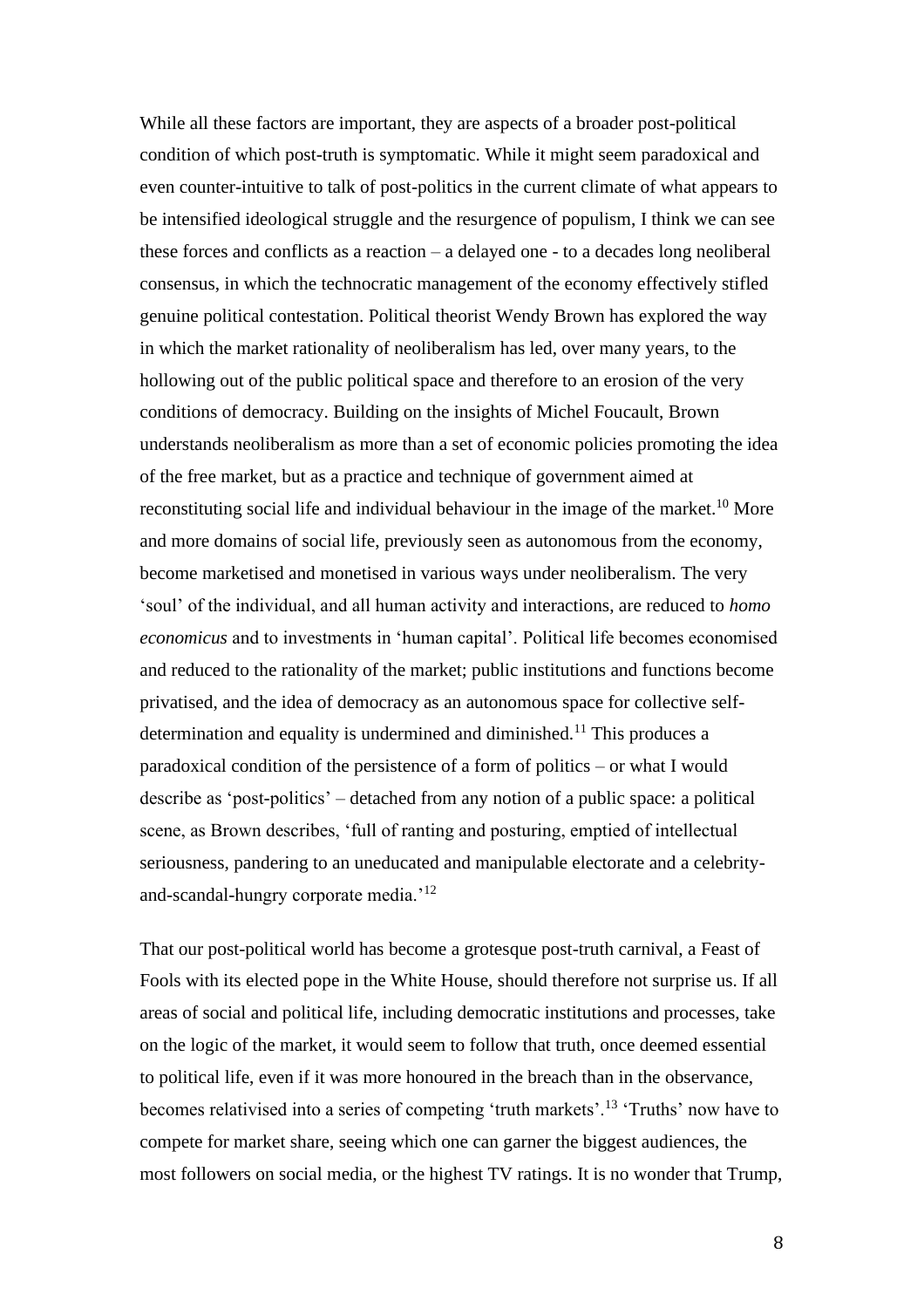While all these factors are important, they are aspects of a broader post-political condition of which post-truth is symptomatic. While it might seem paradoxical and even counter-intuitive to talk of post-politics in the current climate of what appears to be intensified ideological struggle and the resurgence of populism, I think we can see these forces and conflicts as a reaction – a delayed one - to a decades long neoliberal consensus, in which the technocratic management of the economy effectively stifled genuine political contestation. Political theorist Wendy Brown has explored the way in which the market rationality of neoliberalism has led, over many years, to the hollowing out of the public political space and therefore to an erosion of the very conditions of democracy. Building on the insights of Michel Foucault, Brown understands neoliberalism as more than a set of economic policies promoting the idea of the free market, but as a practice and technique of government aimed at reconstituting social life and individual behaviour in the image of the market.<sup>10</sup> More and more domains of social life, previously seen as autonomous from the economy, become marketised and monetised in various ways under neoliberalism. The very 'soul' of the individual, and all human activity and interactions, are reduced to *homo economicus* and to investments in 'human capital'. Political life becomes economised and reduced to the rationality of the market; public institutions and functions become privatised, and the idea of democracy as an autonomous space for collective selfdetermination and equality is undermined and diminished.<sup>11</sup> This produces a paradoxical condition of the persistence of a form of politics – or what I would describe as 'post-politics' – detached from any notion of a public space: a political scene, as Brown describes, 'full of ranting and posturing, emptied of intellectual seriousness, pandering to an uneducated and manipulable electorate and a celebrityand-scandal-hungry corporate media.'<sup>12</sup>

That our post-political world has become a grotesque post-truth carnival, a Feast of Fools with its elected pope in the White House, should therefore not surprise us. If all areas of social and political life, including democratic institutions and processes, take on the logic of the market, it would seem to follow that truth, once deemed essential to political life, even if it was more honoured in the breach than in the observance, becomes relativised into a series of competing 'truth markets'.<sup>13</sup> 'Truths' now have to compete for market share, seeing which one can garner the biggest audiences, the most followers on social media, or the highest TV ratings. It is no wonder that Trump,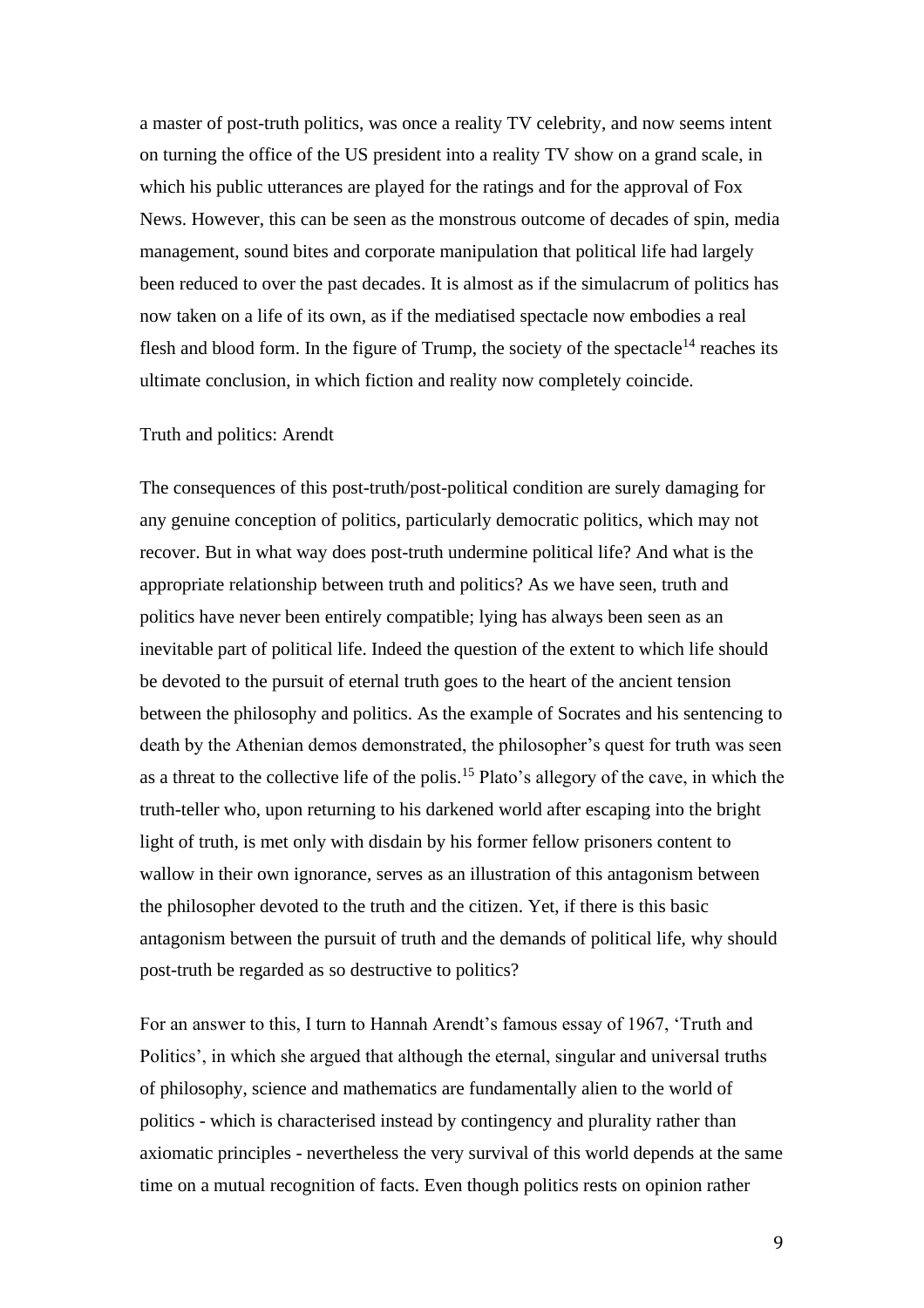a master of post-truth politics, was once a reality TV celebrity, and now seems intent on turning the office of the US president into a reality TV show on a grand scale, in which his public utterances are played for the ratings and for the approval of Fox News. However, this can be seen as the monstrous outcome of decades of spin, media management, sound bites and corporate manipulation that political life had largely been reduced to over the past decades. It is almost as if the simulacrum of politics has now taken on a life of its own, as if the mediatised spectacle now embodies a real flesh and blood form. In the figure of Trump, the society of the spectacle<sup>14</sup> reaches its ultimate conclusion, in which fiction and reality now completely coincide.

### Truth and politics: Arendt

The consequences of this post-truth/post-political condition are surely damaging for any genuine conception of politics, particularly democratic politics, which may not recover. But in what way does post-truth undermine political life? And what is the appropriate relationship between truth and politics? As we have seen, truth and politics have never been entirely compatible; lying has always been seen as an inevitable part of political life. Indeed the question of the extent to which life should be devoted to the pursuit of eternal truth goes to the heart of the ancient tension between the philosophy and politics. As the example of Socrates and his sentencing to death by the Athenian demos demonstrated, the philosopher's quest for truth was seen as a threat to the collective life of the polis.<sup>15</sup> Plato's allegory of the cave, in which the truth-teller who, upon returning to his darkened world after escaping into the bright light of truth, is met only with disdain by his former fellow prisoners content to wallow in their own ignorance, serves as an illustration of this antagonism between the philosopher devoted to the truth and the citizen. Yet, if there is this basic antagonism between the pursuit of truth and the demands of political life, why should post-truth be regarded as so destructive to politics?

For an answer to this, I turn to Hannah Arendt's famous essay of 1967, 'Truth and Politics', in which she argued that although the eternal, singular and universal truths of philosophy, science and mathematics are fundamentally alien to the world of politics - which is characterised instead by contingency and plurality rather than axiomatic principles - nevertheless the very survival of this world depends at the same time on a mutual recognition of facts. Even though politics rests on opinion rather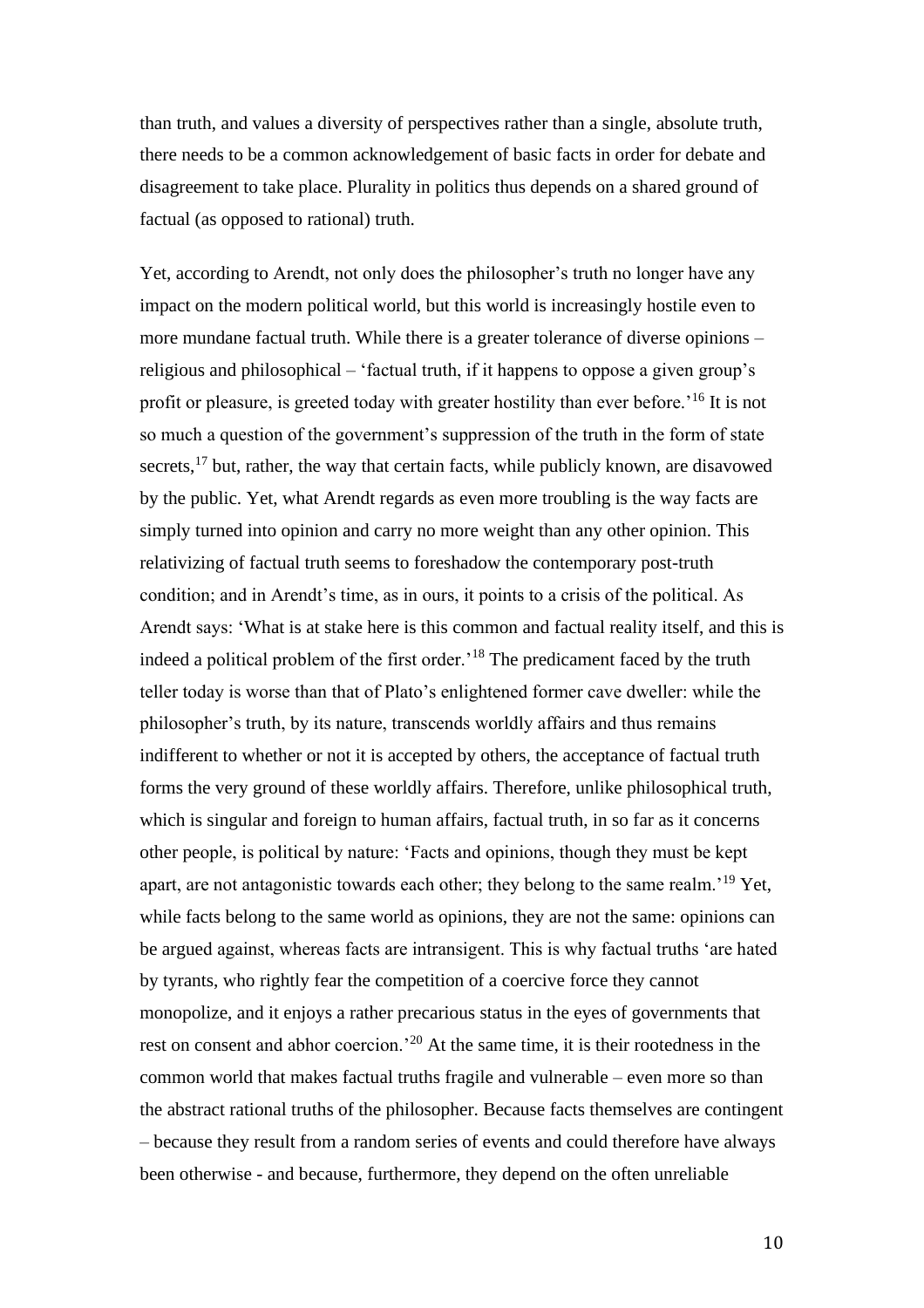than truth, and values a diversity of perspectives rather than a single, absolute truth, there needs to be a common acknowledgement of basic facts in order for debate and disagreement to take place. Plurality in politics thus depends on a shared ground of factual (as opposed to rational) truth.

Yet, according to Arendt, not only does the philosopher's truth no longer have any impact on the modern political world, but this world is increasingly hostile even to more mundane factual truth. While there is a greater tolerance of diverse opinions – religious and philosophical – 'factual truth, if it happens to oppose a given group's profit or pleasure, is greeted today with greater hostility than ever before.'<sup>16</sup> It is not so much a question of the government's suppression of the truth in the form of state secrets,<sup>17</sup> but, rather, the way that certain facts, while publicly known, are disavowed by the public. Yet, what Arendt regards as even more troubling is the way facts are simply turned into opinion and carry no more weight than any other opinion. This relativizing of factual truth seems to foreshadow the contemporary post-truth condition; and in Arendt's time, as in ours, it points to a crisis of the political. As Arendt says: 'What is at stake here is this common and factual reality itself, and this is indeed a political problem of the first order.<sup>18</sup> The predicament faced by the truth teller today is worse than that of Plato's enlightened former cave dweller: while the philosopher's truth, by its nature, transcends worldly affairs and thus remains indifferent to whether or not it is accepted by others, the acceptance of factual truth forms the very ground of these worldly affairs. Therefore, unlike philosophical truth, which is singular and foreign to human affairs, factual truth, in so far as it concerns other people, is political by nature: 'Facts and opinions, though they must be kept apart, are not antagonistic towards each other; they belong to the same realm.'<sup>19</sup> Yet, while facts belong to the same world as opinions, they are not the same: opinions can be argued against, whereas facts are intransigent. This is why factual truths 'are hated by tyrants, who rightly fear the competition of a coercive force they cannot monopolize, and it enjoys a rather precarious status in the eyes of governments that rest on consent and abhor coercion.<sup>20</sup> At the same time, it is their rootedness in the common world that makes factual truths fragile and vulnerable – even more so than the abstract rational truths of the philosopher. Because facts themselves are contingent – because they result from a random series of events and could therefore have always been otherwise - and because, furthermore, they depend on the often unreliable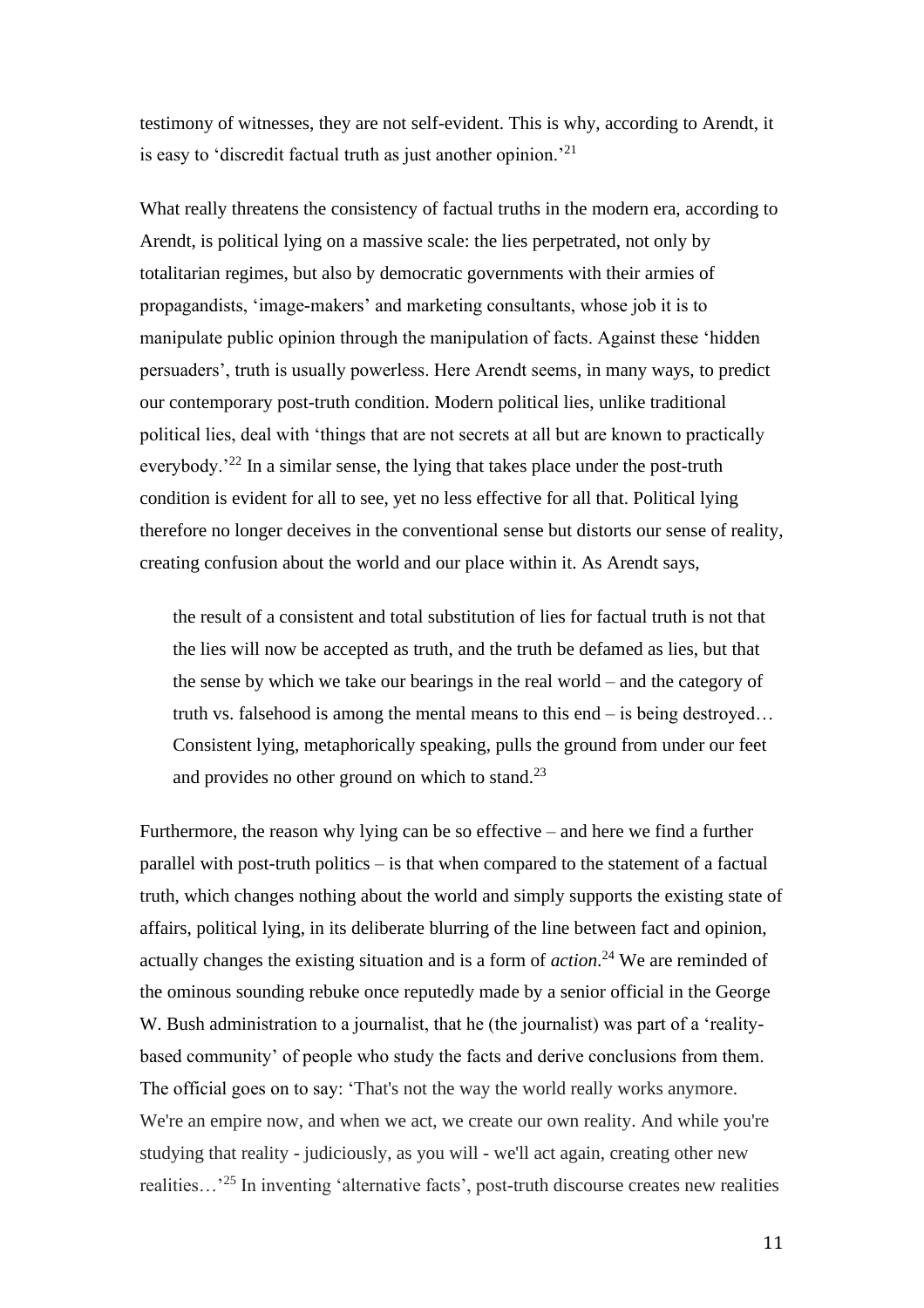testimony of witnesses, they are not self-evident. This is why, according to Arendt, it is easy to 'discredit factual truth as just another opinion.'<sup>21</sup>

What really threatens the consistency of factual truths in the modern era, according to Arendt, is political lying on a massive scale: the lies perpetrated, not only by totalitarian regimes, but also by democratic governments with their armies of propagandists, 'image-makers' and marketing consultants, whose job it is to manipulate public opinion through the manipulation of facts. Against these 'hidden persuaders', truth is usually powerless. Here Arendt seems, in many ways, to predict our contemporary post-truth condition. Modern political lies, unlike traditional political lies, deal with 'things that are not secrets at all but are known to practically everybody.<sup>22</sup> In a similar sense, the lying that takes place under the post-truth condition is evident for all to see, yet no less effective for all that. Political lying therefore no longer deceives in the conventional sense but distorts our sense of reality, creating confusion about the world and our place within it. As Arendt says,

the result of a consistent and total substitution of lies for factual truth is not that the lies will now be accepted as truth, and the truth be defamed as lies, but that the sense by which we take our bearings in the real world – and the category of truth vs. falsehood is among the mental means to this end – is being destroyed… Consistent lying, metaphorically speaking, pulls the ground from under our feet and provides no other ground on which to stand. $^{23}$ 

Furthermore, the reason why lying can be so effective – and here we find a further parallel with post-truth politics – is that when compared to the statement of a factual truth, which changes nothing about the world and simply supports the existing state of affairs, political lying, in its deliberate blurring of the line between fact and opinion, actually changes the existing situation and is a form of *action*. <sup>24</sup> We are reminded of the ominous sounding rebuke once reputedly made by a senior official in the George W. Bush administration to a journalist, that he (the journalist) was part of a 'realitybased community' of people who study the facts and derive conclusions from them. The official goes on to say: 'That's not the way the world really works anymore. We're an empire now, and when we act, we create our own reality. And while you're studying that reality - judiciously, as you will - we'll act again, creating other new realities…'<sup>25</sup> In inventing 'alternative facts', post-truth discourse creates new realities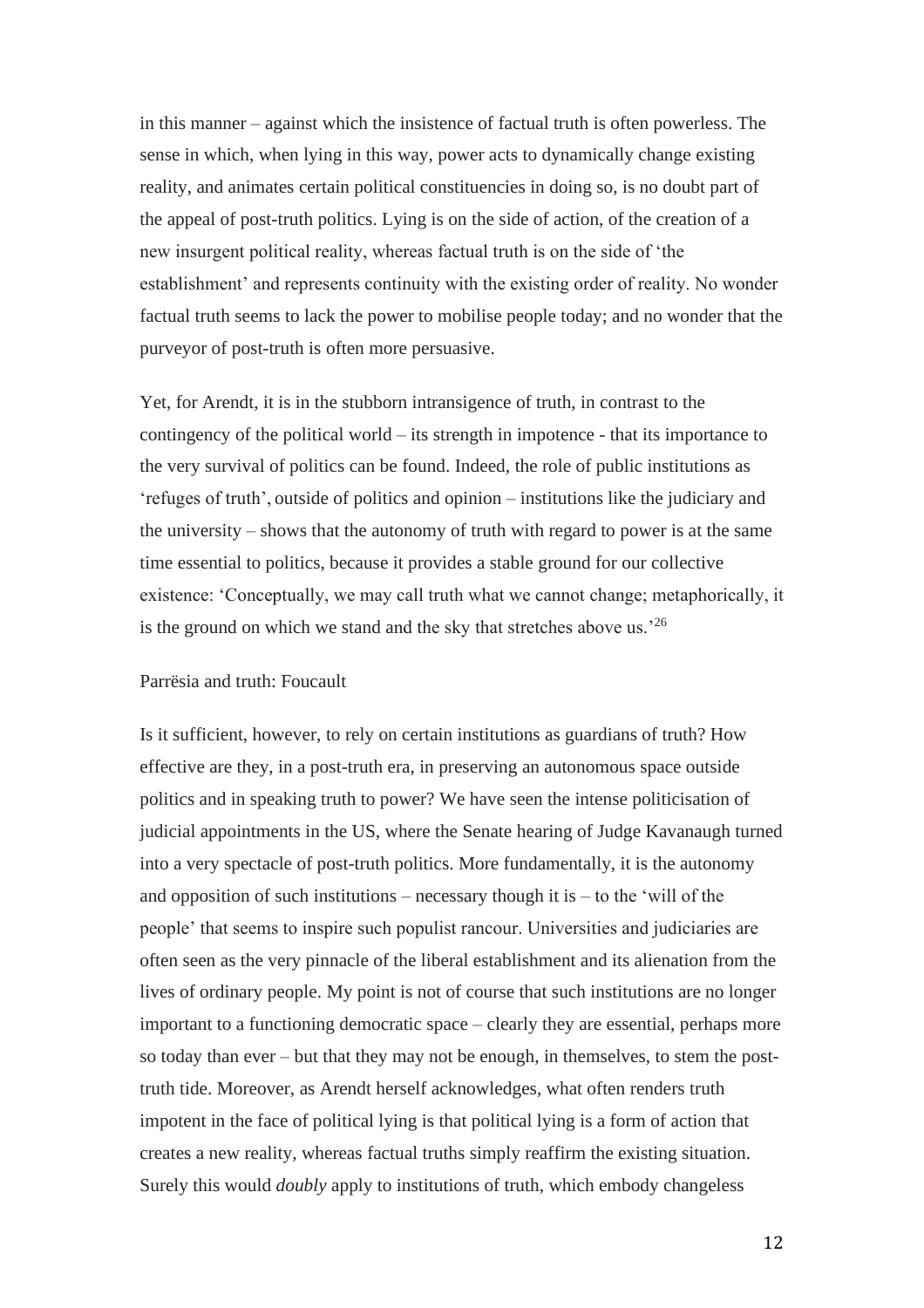in this manner – against which the insistence of factual truth is often powerless. The sense in which, when lying in this way, power acts to dynamically change existing reality, and animates certain political constituencies in doing so, is no doubt part of the appeal of post-truth politics. Lying is on the side of action, of the creation of a new insurgent political reality, whereas factual truth is on the side of 'the establishment' and represents continuity with the existing order of reality. No wonder factual truth seems to lack the power to mobilise people today; and no wonder that the purveyor of post-truth is often more persuasive.

Yet, for Arendt, it is in the stubborn intransigence of truth, in contrast to the contingency of the political world – its strength in impotence - that its importance to the very survival of politics can be found. Indeed, the role of public institutions as 'refuges of truth', outside of politics and opinion – institutions like the judiciary and the university – shows that the autonomy of truth with regard to power is at the same time essential to politics, because it provides a stable ground for our collective existence: 'Conceptually, we may call truth what we cannot change; metaphorically, it is the ground on which we stand and the sky that stretches above us.'<sup>26</sup>

## Parrësia and truth: Foucault

Is it sufficient, however, to rely on certain institutions as guardians of truth? How effective are they, in a post-truth era, in preserving an autonomous space outside politics and in speaking truth to power? We have seen the intense politicisation of judicial appointments in the US, where the Senate hearing of Judge Kavanaugh turned into a very spectacle of post-truth politics. More fundamentally, it is the autonomy and opposition of such institutions – necessary though it is – to the 'will of the people' that seems to inspire such populist rancour. Universities and judiciaries are often seen as the very pinnacle of the liberal establishment and its alienation from the lives of ordinary people. My point is not of course that such institutions are no longer important to a functioning democratic space – clearly they are essential, perhaps more so today than ever – but that they may not be enough, in themselves, to stem the posttruth tide. Moreover, as Arendt herself acknowledges, what often renders truth impotent in the face of political lying is that political lying is a form of action that creates a new reality, whereas factual truths simply reaffirm the existing situation. Surely this would *doubly* apply to institutions of truth, which embody changeless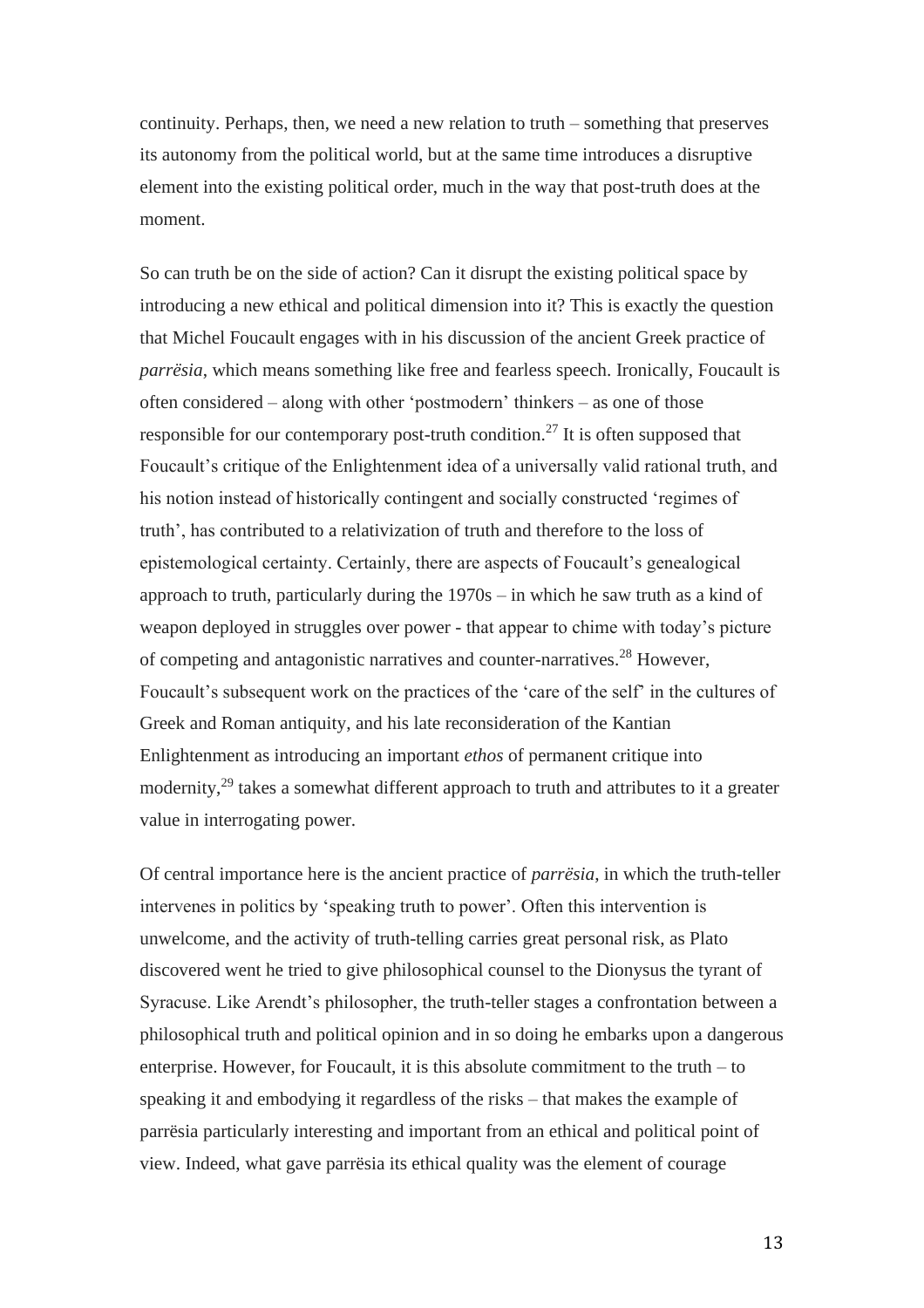continuity. Perhaps, then, we need a new relation to truth – something that preserves its autonomy from the political world, but at the same time introduces a disruptive element into the existing political order, much in the way that post-truth does at the moment.

So can truth be on the side of action? Can it disrupt the existing political space by introducing a new ethical and political dimension into it? This is exactly the question that Michel Foucault engages with in his discussion of the ancient Greek practice of *parrësia*, which means something like free and fearless speech. Ironically, Foucault is often considered – along with other 'postmodern' thinkers – as one of those responsible for our contemporary post-truth condition.<sup>27</sup> It is often supposed that Foucault's critique of the Enlightenment idea of a universally valid rational truth, and his notion instead of historically contingent and socially constructed 'regimes of truth', has contributed to a relativization of truth and therefore to the loss of epistemological certainty. Certainly, there are aspects of Foucault's genealogical approach to truth, particularly during the 1970s – in which he saw truth as a kind of weapon deployed in struggles over power - that appear to chime with today's picture of competing and antagonistic narratives and counter-narratives.<sup>28</sup> However, Foucault's subsequent work on the practices of the 'care of the self' in the cultures of Greek and Roman antiquity, and his late reconsideration of the Kantian Enlightenment as introducing an important *ethos* of permanent critique into modernity,<sup>29</sup> takes a somewhat different approach to truth and attributes to it a greater value in interrogating power.

Of central importance here is the ancient practice of *parrësia*, in which the truth-teller intervenes in politics by 'speaking truth to power'. Often this intervention is unwelcome, and the activity of truth-telling carries great personal risk, as Plato discovered went he tried to give philosophical counsel to the Dionysus the tyrant of Syracuse. Like Arendt's philosopher, the truth-teller stages a confrontation between a philosophical truth and political opinion and in so doing he embarks upon a dangerous enterprise. However, for Foucault, it is this absolute commitment to the truth – to speaking it and embodying it regardless of the risks – that makes the example of parrësia particularly interesting and important from an ethical and political point of view. Indeed, what gave parrësia its ethical quality was the element of courage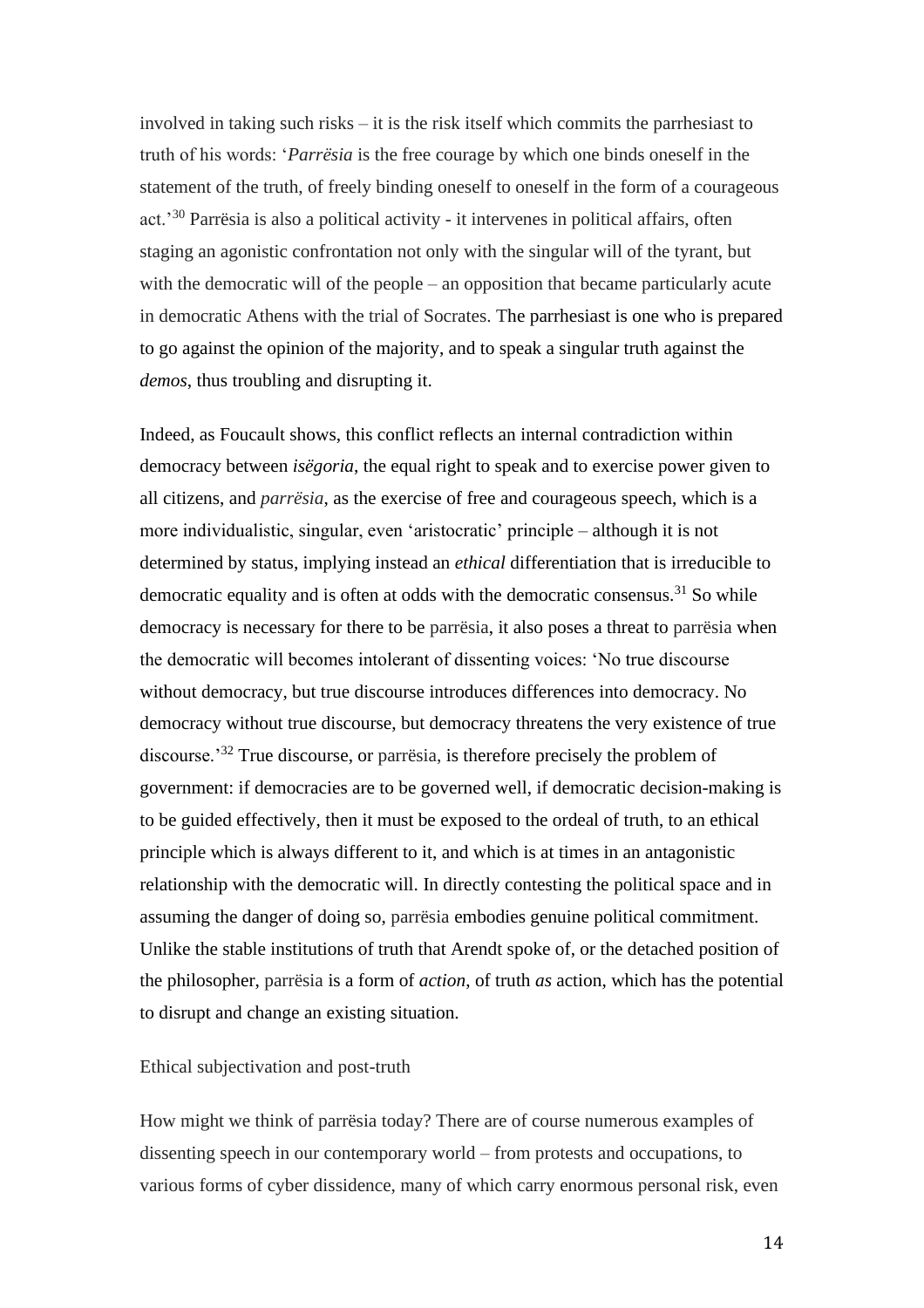involved in taking such risks – it is the risk itself which commits the parrhesiast to truth of his words: '*Parrësia* is the free courage by which one binds oneself in the statement of the truth, of freely binding oneself to oneself in the form of a courageous act.'<sup>30</sup> Parrësia is also a political activity - it intervenes in political affairs, often staging an agonistic confrontation not only with the singular will of the tyrant, but with the democratic will of the people – an opposition that became particularly acute in democratic Athens with the trial of Socrates. The parrhesiast is one who is prepared to go against the opinion of the majority, and to speak a singular truth against the *demos*, thus troubling and disrupting it.

Indeed, as Foucault shows, this conflict reflects an internal contradiction within democracy between *isëgoria*, the equal right to speak and to exercise power given to all citizens, and *parrësia*, as the exercise of free and courageous speech, which is a more individualistic, singular, even 'aristocratic' principle – although it is not determined by status, implying instead an *ethical* differentiation that is irreducible to democratic equality and is often at odds with the democratic consensus.<sup>31</sup> So while democracy is necessary for there to be parrësia, it also poses a threat to parrësia when the democratic will becomes intolerant of dissenting voices: 'No true discourse without democracy, but true discourse introduces differences into democracy. No democracy without true discourse, but democracy threatens the very existence of true discourse.'<sup>32</sup> True discourse, or parrësia, is therefore precisely the problem of government: if democracies are to be governed well, if democratic decision-making is to be guided effectively, then it must be exposed to the ordeal of truth, to an ethical principle which is always different to it, and which is at times in an antagonistic relationship with the democratic will. In directly contesting the political space and in assuming the danger of doing so, parrësia embodies genuine political commitment. Unlike the stable institutions of truth that Arendt spoke of, or the detached position of the philosopher, parrësia is a form of *action*, of truth *as* action, which has the potential to disrupt and change an existing situation.

## Ethical subjectivation and post-truth

How might we think of parrësia today? There are of course numerous examples of dissenting speech in our contemporary world – from protests and occupations, to various forms of cyber dissidence, many of which carry enormous personal risk, even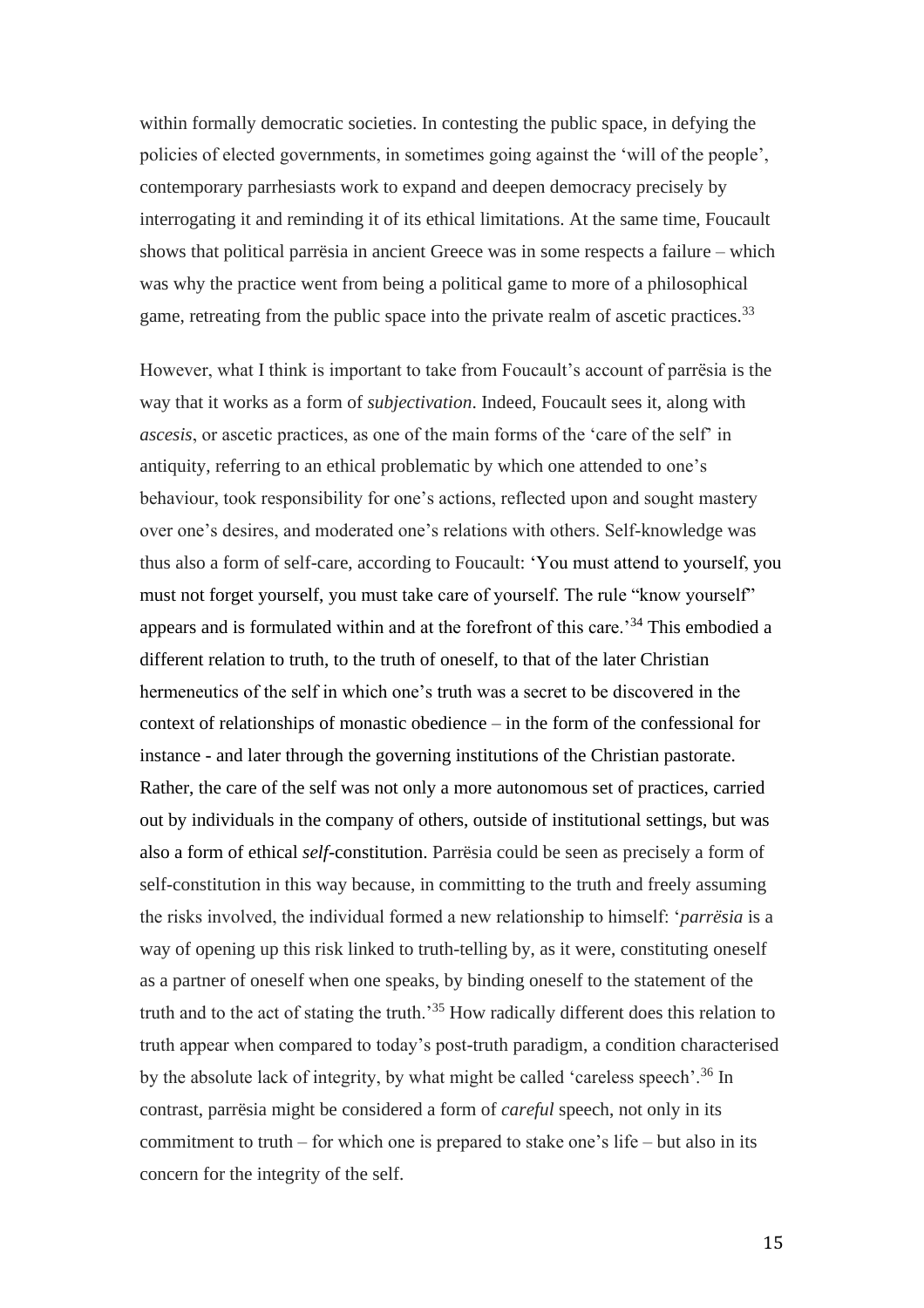within formally democratic societies. In contesting the public space, in defying the policies of elected governments, in sometimes going against the 'will of the people', contemporary parrhesiasts work to expand and deepen democracy precisely by interrogating it and reminding it of its ethical limitations. At the same time, Foucault shows that political parrësia in ancient Greece was in some respects a failure – which was why the practice went from being a political game to more of a philosophical game, retreating from the public space into the private realm of ascetic practices.<sup>33</sup>

However, what I think is important to take from Foucault's account of parrësia is the way that it works as a form of *subjectivation*. Indeed, Foucault sees it, along with *ascesis*, or ascetic practices, as one of the main forms of the 'care of the self' in antiquity, referring to an ethical problematic by which one attended to one's behaviour, took responsibility for one's actions, reflected upon and sought mastery over one's desires, and moderated one's relations with others. Self-knowledge was thus also a form of self-care, according to Foucault: 'You must attend to yourself, you must not forget yourself, you must take care of yourself. The rule "know yourself" appears and is formulated within and at the forefront of this care.'<sup>34</sup> This embodied a different relation to truth, to the truth of oneself, to that of the later Christian hermeneutics of the self in which one's truth was a secret to be discovered in the context of relationships of monastic obedience – in the form of the confessional for instance - and later through the governing institutions of the Christian pastorate. Rather, the care of the self was not only a more autonomous set of practices, carried out by individuals in the company of others, outside of institutional settings, but was also a form of ethical *self*-constitution. Parrësia could be seen as precisely a form of self-constitution in this way because, in committing to the truth and freely assuming the risks involved, the individual formed a new relationship to himself: '*parrësia* is a way of opening up this risk linked to truth-telling by, as it were, constituting oneself as a partner of oneself when one speaks, by binding oneself to the statement of the truth and to the act of stating the truth.<sup>35</sup> How radically different does this relation to truth appear when compared to today's post-truth paradigm, a condition characterised by the absolute lack of integrity, by what might be called 'careless speech'.<sup>36</sup> In contrast, parrësia might be considered a form of *careful* speech, not only in its commitment to truth – for which one is prepared to stake one's life – but also in its concern for the integrity of the self.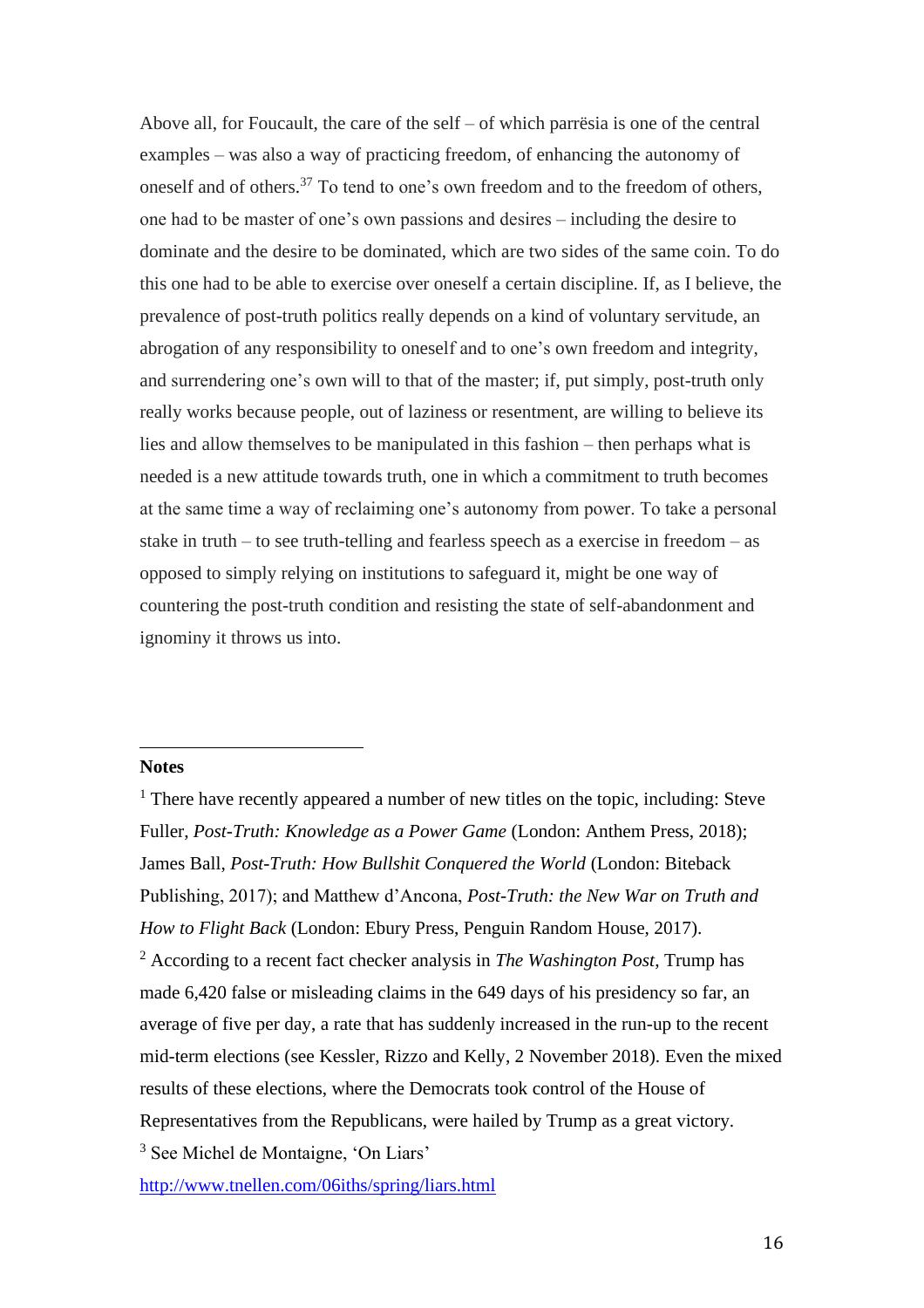Above all, for Foucault, the care of the self – of which parrësia is one of the central examples – was also a way of practicing freedom, of enhancing the autonomy of oneself and of others.<sup>37</sup> To tend to one's own freedom and to the freedom of others, one had to be master of one's own passions and desires – including the desire to dominate and the desire to be dominated, which are two sides of the same coin. To do this one had to be able to exercise over oneself a certain discipline. If, as I believe, the prevalence of post-truth politics really depends on a kind of voluntary servitude, an abrogation of any responsibility to oneself and to one's own freedom and integrity, and surrendering one's own will to that of the master; if, put simply, post-truth only really works because people, out of laziness or resentment, are willing to believe its lies and allow themselves to be manipulated in this fashion – then perhaps what is needed is a new attitude towards truth, one in which a commitment to truth becomes at the same time a way of reclaiming one's autonomy from power. To take a personal stake in truth – to see truth-telling and fearless speech as a exercise in freedom – as opposed to simply relying on institutions to safeguard it, might be one way of countering the post-truth condition and resisting the state of self-abandonment and ignominy it throws us into.

# **Notes**

<sup>1</sup> There have recently appeared a number of new titles on the topic, including: Steve Fuller, *Post-Truth: Knowledge as a Power Game* (London: Anthem Press, 2018); James Ball, *Post-Truth: How Bullshit Conquered the World* (London: Biteback Publishing, 2017); and Matthew d'Ancona, *Post-Truth: the New War on Truth and How to Flight Back* (London: Ebury Press, Penguin Random House, 2017). <sup>2</sup> According to a recent fact checker analysis in *The Washington Post*, Trump has made 6,420 false or misleading claims in the 649 days of his presidency so far, an average of five per day, a rate that has suddenly increased in the run-up to the recent mid-term elections (see Kessler, Rizzo and Kelly, 2 November 2018). Even the mixed results of these elections, where the Democrats took control of the House of Representatives from the Republicans, were hailed by Trump as a great victory. <sup>3</sup> See Michel de Montaigne, 'On Liars'

<http://www.tnellen.com/06iths/spring/liars.html>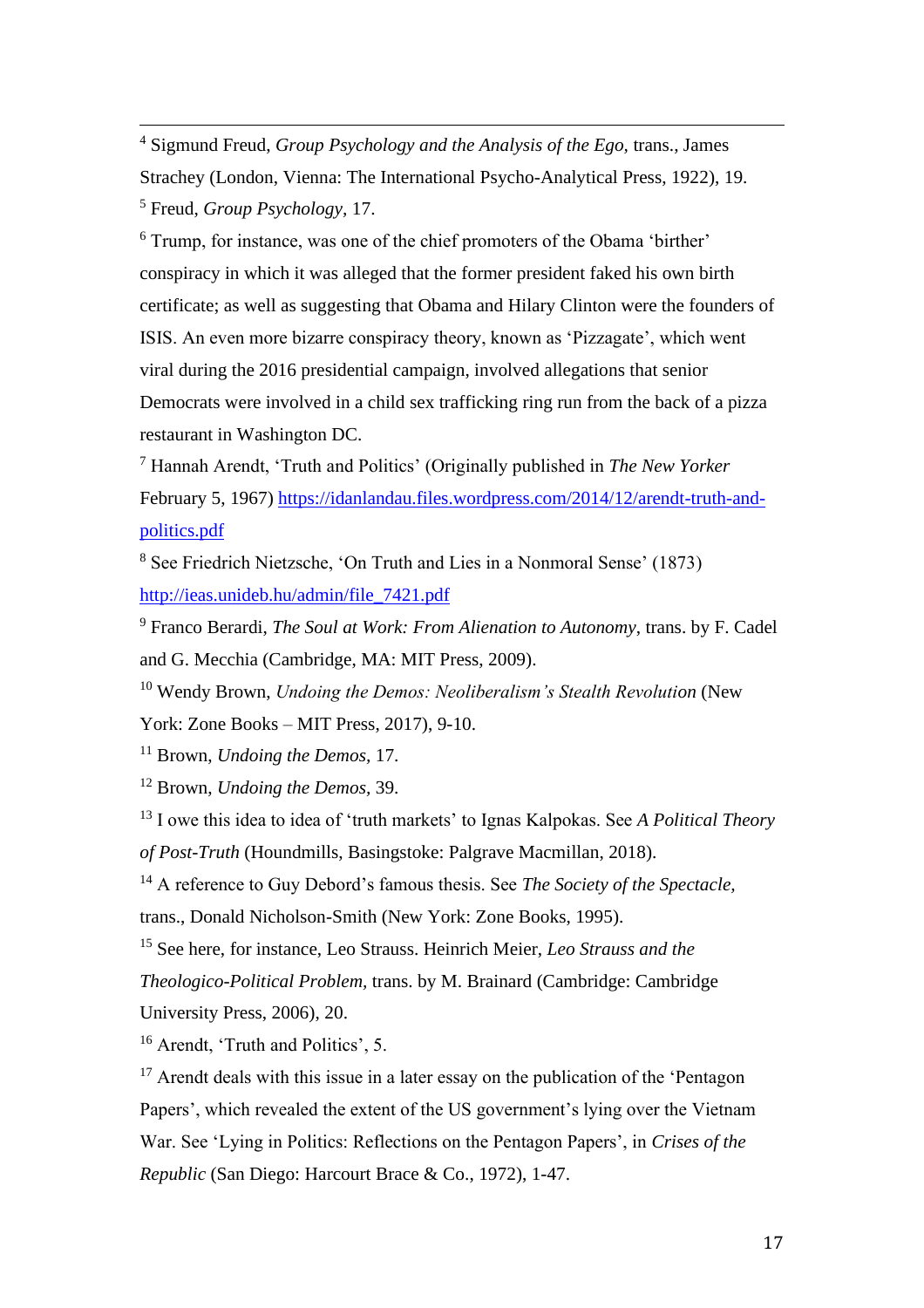<sup>4</sup> Sigmund Freud, *Group Psychology and the Analysis of the Ego,* trans., James Strachey (London, Vienna: The International Psycho-Analytical Press, 1922), 19. <sup>5</sup> Freud, *Group Psychology,* 17.

<sup>6</sup> Trump, for instance, was one of the chief promoters of the Obama 'birther' conspiracy in which it was alleged that the former president faked his own birth certificate; as well as suggesting that Obama and Hilary Clinton were the founders of ISIS. An even more bizarre conspiracy theory, known as 'Pizzagate', which went viral during the 2016 presidential campaign, involved allegations that senior Democrats were involved in a child sex trafficking ring run from the back of a pizza restaurant in Washington DC.

<sup>7</sup> Hannah Arendt, 'Truth and Politics' (Originally published in *The New Yorker* February 5, 1967) [https://idanlandau.files.wordpress.com/2014/12/arendt-truth-and](https://idanlandau.files.wordpress.com/2014/12/arendt-truth-and-politics.pdf)[politics.pdf](https://idanlandau.files.wordpress.com/2014/12/arendt-truth-and-politics.pdf)

<sup>8</sup> See Friedrich Nietzsche, 'On Truth and Lies in a Nonmoral Sense' (1873) [http://ieas.unideb.hu/admin/file\\_7421.pdf](http://ieas.unideb.hu/admin/file_7421.pdf)

<sup>9</sup> Franco Berardi, *The Soul at Work: From Alienation to Autonomy*, trans. by F. Cadel and G. Mecchia (Cambridge, MA: MIT Press, 2009).

<sup>10</sup> Wendy Brown, *Undoing the Demos: Neoliberalism's Stealth Revolution* (New

York: Zone Books – MIT Press, 2017), 9-10.

<sup>11</sup> Brown, *Undoing the Demos,* 17.

<sup>12</sup> Brown, *Undoing the Demos,* 39.

<sup>13</sup> I owe this idea to idea of 'truth markets' to Ignas Kalpokas. See *A Political Theory of Post-Truth* (Houndmills, Basingstoke: Palgrave Macmillan, 2018).

<sup>14</sup> A reference to Guy Debord's famous thesis. See *The Society of the Spectacle,*

trans., Donald Nicholson-Smith (New York: Zone Books, 1995).

<sup>15</sup> See here, for instance, Leo Strauss. Heinrich Meier, *Leo Strauss and the* 

*Theologico-Political Problem,* trans. by M. Brainard (Cambridge: Cambridge University Press, 2006), 20.

<sup>16</sup> Arendt, 'Truth and Politics', 5.

 $17$  Arendt deals with this issue in a later essay on the publication of the 'Pentagon Papers', which revealed the extent of the US government's lying over the Vietnam War. See 'Lying in Politics: Reflections on the Pentagon Papers', in *Crises of the Republic* (San Diego: Harcourt Brace & Co., 1972), 1-47.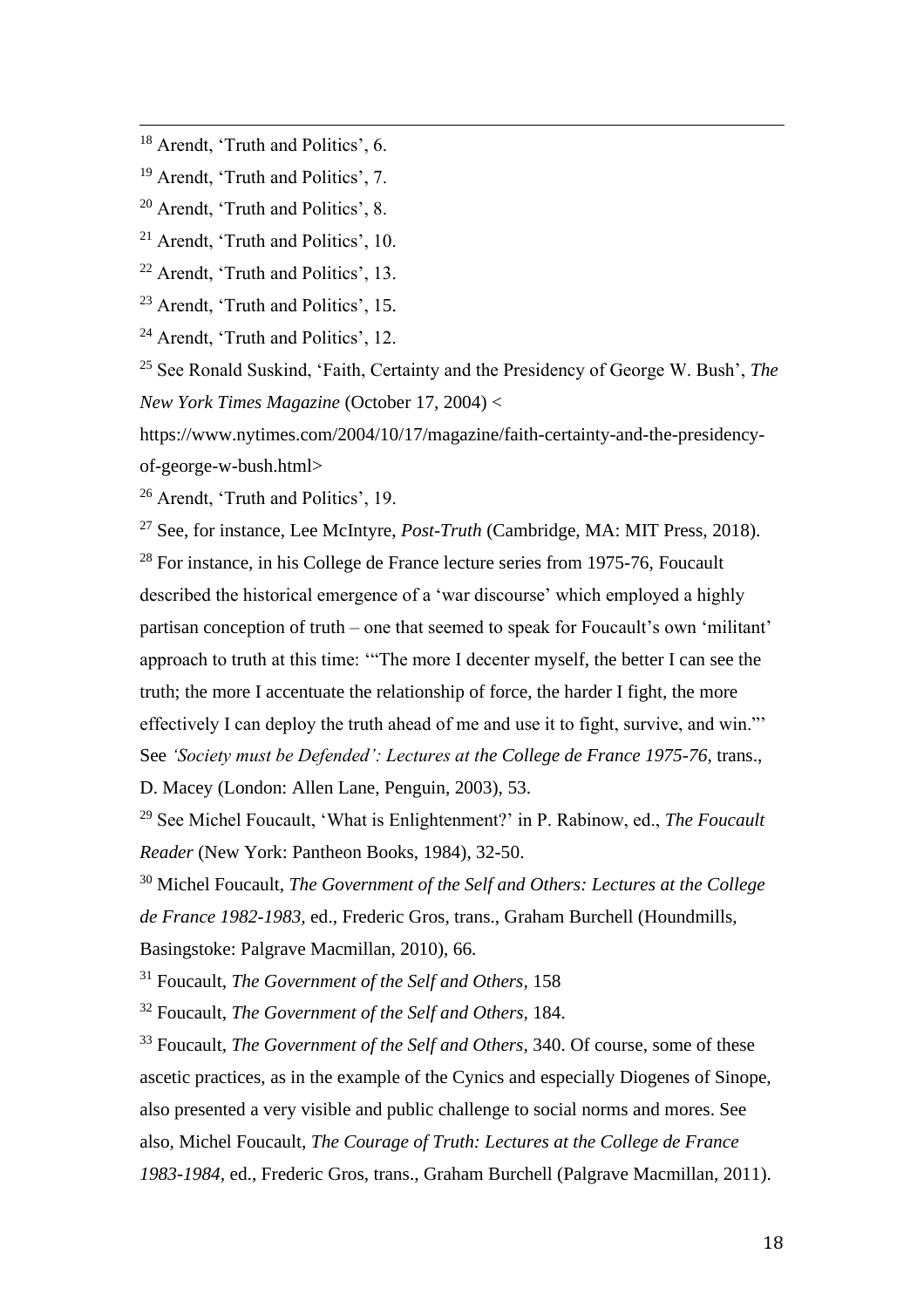- <sup>18</sup> Arendt, 'Truth and Politics', 6.
- <sup>19</sup> Arendt, 'Truth and Politics', 7.
- <sup>20</sup> Arendt, 'Truth and Politics', 8.
- <sup>21</sup> Arendt, 'Truth and Politics', 10.
- <sup>22</sup> Arendt, 'Truth and Politics', 13.

<sup>23</sup> Arendt, 'Truth and Politics', 15.

<sup>24</sup> Arendt, 'Truth and Politics', 12.

<sup>25</sup> See Ronald Suskind, 'Faith, Certainty and the Presidency of George W. Bush', *The New York Times Magazine* (October 17, 2004) <

https://www.nytimes.com/2004/10/17/magazine/faith-certainty-and-the-presidencyof-george-w-bush.html>

<sup>26</sup> Arendt, 'Truth and Politics', 19.

<sup>27</sup> See, for instance, Lee McIntyre, *Post-Truth* (Cambridge, MA: MIT Press, 2018). <sup>28</sup> For instance, in his College de France lecture series from 1975-76, Foucault described the historical emergence of a 'war discourse' which employed a highly partisan conception of truth – one that seemed to speak for Foucault's own 'militant' approach to truth at this time: '"The more I decenter myself, the better I can see the truth; the more I accentuate the relationship of force, the harder I fight, the more effectively I can deploy the truth ahead of me and use it to fight, survive, and win."' See 'Society must be Defended': Lectures at the College de France 1975-76, trans.,

D. Macey (London: Allen Lane, Penguin, 2003), 53.

<sup>29</sup> See Michel Foucault, 'What is Enlightenment?' in P. Rabinow, ed., *The Foucault Reader* (New York: Pantheon Books, 1984), 32-50.

<sup>30</sup> Michel Foucault, *The Government of the Self and Others: Lectures at the College de France 1982-1983,* ed., Frederic Gros, trans., Graham Burchell (Houndmills, Basingstoke: Palgrave Macmillan, 2010), 66.

<sup>31</sup> Foucault, *The Government of the Self and Others,* 158

<sup>32</sup> Foucault, *The Government of the Self and Others,* 184.

<sup>33</sup> Foucault, *The Government of the Self and Others,* 340. Of course, some of these ascetic practices, as in the example of the Cynics and especially Diogenes of Sinope, also presented a very visible and public challenge to social norms and mores. See also, Michel Foucault, *The Courage of Truth: Lectures at the College de France 1983-1984,* ed., Frederic Gros, trans., Graham Burchell (Palgrave Macmillan, 2011).